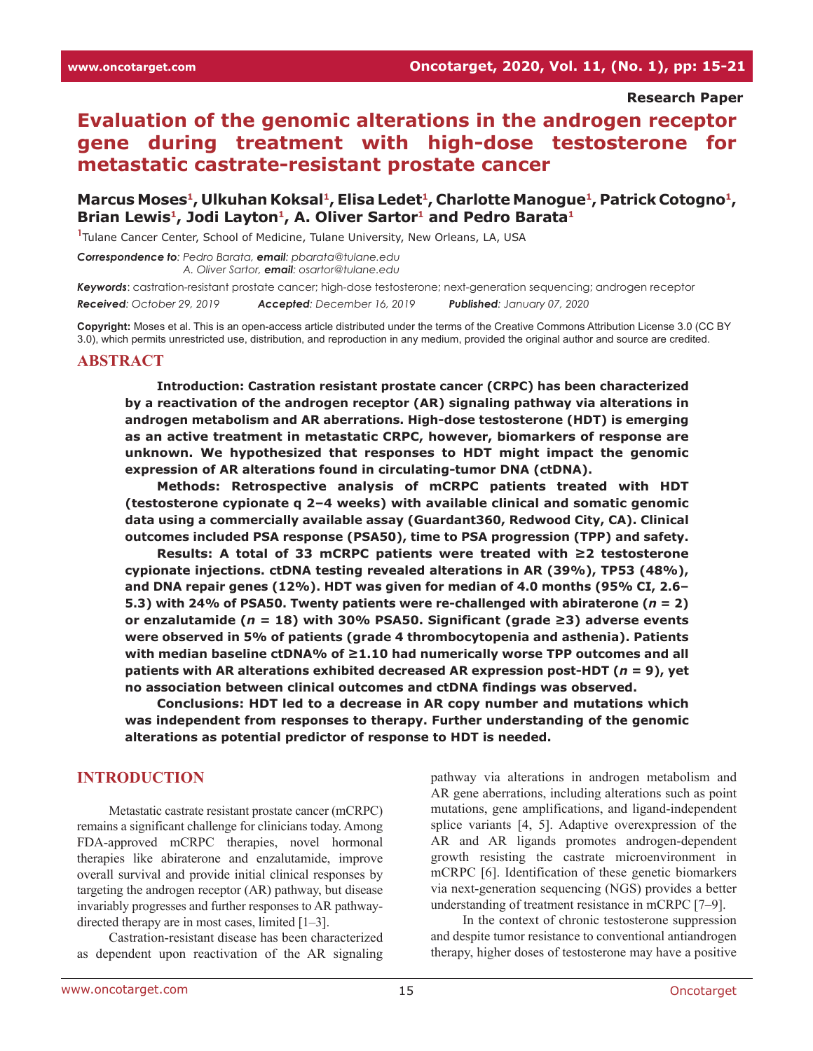#### **Research Paper**

# **Evaluation of the genomic alterations in the androgen receptor gene during treatment with high-dose testosterone for metastatic castrate-resistant prostate cancer**

## Marcus Moses<sup>1</sup>, Ulkuhan Koksal<sup>1</sup>, Elisa Ledet<sup>1</sup>, Charlotte Manogue<sup>1</sup>, Patrick Cotogno<sup>1</sup>, Brian Lewis<sup>1</sup>, Jodi Layton<sup>1</sup>, A. Oliver Sartor<sup>1</sup> and Pedro Barata<sup>1</sup>

**1** Tulane Cancer Center, School of Medicine, Tulane University, New Orleans, LA, USA

*Correspondence to: Pedro Barata, email: pbarata@tulane.edu A. Oliver Sartor, email: osartor@tulane.edu*

*Keywords*: castration-resistant prostate cancer; high-dose testosterone; next-generation sequencing; androgen receptor

*Received: October 29, 2019 Accepted: December 16, 2019 Published: January 07, 2020*

**Copyright:** Moses et al. This is an open-access article distributed under the terms of the Creative Commons Attribution License 3.0 (CC BY 3.0), which permits unrestricted use, distribution, and reproduction in any medium, provided the original author and source are credited.

#### **ABSTRACT**

**Introduction: Castration resistant prostate cancer (CRPC) has been characterized by a reactivation of the androgen receptor (AR) signaling pathway via alterations in androgen metabolism and AR aberrations. High-dose testosterone (HDT) is emerging as an active treatment in metastatic CRPC, however, biomarkers of response are unknown. We hypothesized that responses to HDT might impact the genomic expression of AR alterations found in circulating-tumor DNA (ctDNA).**

**Methods: Retrospective analysis of mCRPC patients treated with HDT (testosterone cypionate q 2–4 weeks) with available clinical and somatic genomic data using a commercially available assay (Guardant360, Redwood City, CA). Clinical outcomes included PSA response (PSA50), time to PSA progression (TPP) and safety.**

**Results: A total of 33 mCRPC patients were treated with ≥2 testosterone cypionate injections. ctDNA testing revealed alterations in AR (39%), TP53 (48%), and DNA repair genes (12%). HDT was given for median of 4.0 months (95% CI, 2.6–** 5.3) with 24% of PSA50. Twenty patients were re-challenged with abiraterone  $(n = 2)$ **or enzalutamide (***n* **= 18) with 30% PSA50. Significant (grade ≥3) adverse events were observed in 5% of patients (grade 4 thrombocytopenia and asthenia). Patients with median baseline ctDNA% of ≥1.10 had numerically worse TPP outcomes and all patients with AR alterations exhibited decreased AR expression post-HDT (***n* **= 9), yet no association between clinical outcomes and ctDNA findings was observed.**

**Conclusions: HDT led to a decrease in AR copy number and mutations which was independent from responses to therapy. Further understanding of the genomic alterations as potential predictor of response to HDT is needed.**

#### **INTRODUCTION**

Metastatic castrate resistant prostate cancer (mCRPC) remains a significant challenge for clinicians today. Among FDA-approved mCRPC therapies, novel hormonal therapies like abiraterone and enzalutamide, improve overall survival and provide initial clinical responses by targeting the androgen receptor (AR) pathway, but disease invariably progresses and further responses to AR pathwaydirected therapy are in most cases, limited [1–3].

Castration-resistant disease has been characterized as dependent upon reactivation of the AR signaling pathway via alterations in androgen metabolism and AR gene aberrations, including alterations such as point mutations, gene amplifications, and ligand-independent splice variants [4, 5]. Adaptive overexpression of the AR and AR ligands promotes androgen-dependent growth resisting the castrate microenvironment in mCRPC [6]. Identification of these genetic biomarkers via next-generation sequencing (NGS) provides a better understanding of treatment resistance in mCRPC [7–9].

In the context of chronic testosterone suppression and despite tumor resistance to conventional antiandrogen therapy, higher doses of testosterone may have a positive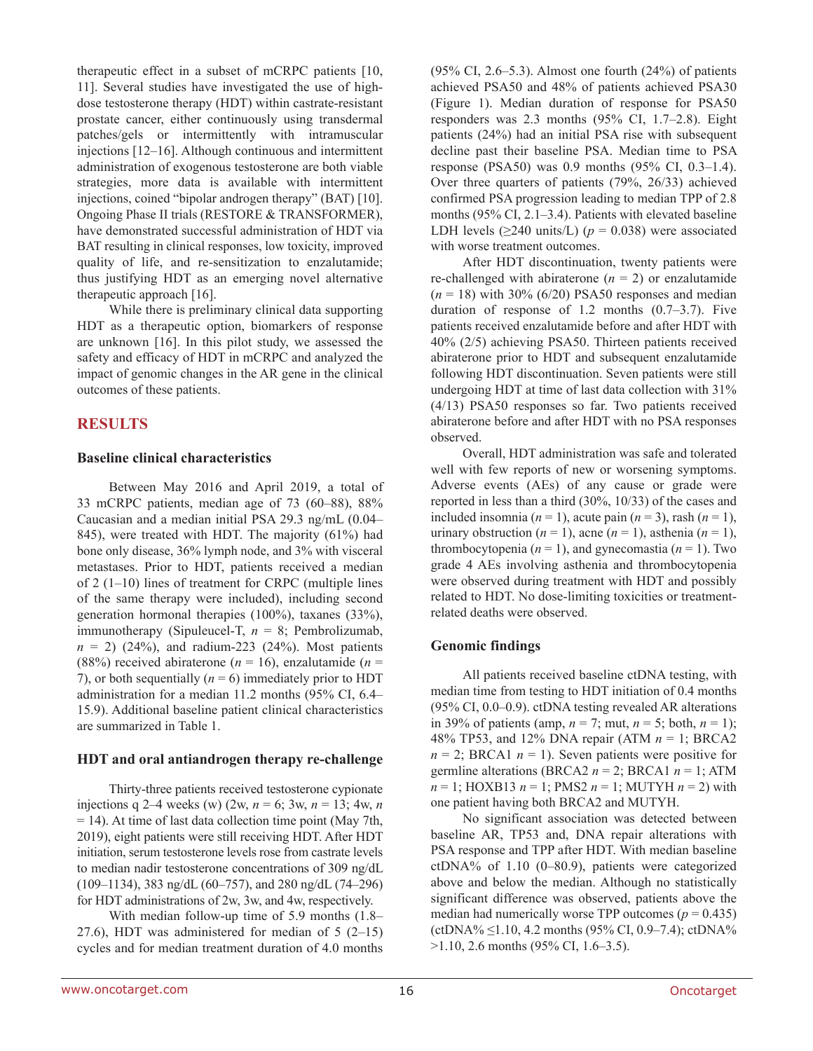therapeutic effect in a subset of mCRPC patients [10, 11]. Several studies have investigated the use of highdose testosterone therapy (HDT) within castrate-resistant prostate cancer, either continuously using transdermal patches/gels or intermittently with intramuscular injections [12–16]. Although continuous and intermittent administration of exogenous testosterone are both viable strategies, more data is available with intermittent injections, coined "bipolar androgen therapy" (BAT) [10]. Ongoing Phase II trials (RESTORE & TRANSFORMER), have demonstrated successful administration of HDT via BAT resulting in clinical responses, low toxicity, improved quality of life, and re-sensitization to enzalutamide; thus justifying HDT as an emerging novel alternative therapeutic approach [16].

While there is preliminary clinical data supporting HDT as a therapeutic option, biomarkers of response are unknown [16]. In this pilot study, we assessed the safety and efficacy of HDT in mCRPC and analyzed the impact of genomic changes in the AR gene in the clinical outcomes of these patients.

## **RESULTS**

#### **Baseline clinical characteristics**

Between May 2016 and April 2019, a total of 33 mCRPC patients, median age of 73 (60–88), 88% Caucasian and a median initial PSA 29.3 ng/mL (0.04– 845), were treated with HDT. The majority (61%) had bone only disease, 36% lymph node, and 3% with visceral metastases. Prior to HDT, patients received a median of 2 (1–10) lines of treatment for CRPC (multiple lines of the same therapy were included), including second generation hormonal therapies (100%), taxanes (33%), immunotherapy (Sipuleucel-T, *n* = 8; Pembrolizumab,  $n = 2$ ) (24%), and radium-223 (24%). Most patients (88%) received abiraterone ( $n = 16$ ), enzalutamide ( $n = 16$ ) 7), or both sequentially  $(n = 6)$  immediately prior to HDT administration for a median 11.2 months (95% CI, 6.4– 15.9). Additional baseline patient clinical characteristics are summarized in Table 1.

#### **HDT and oral antiandrogen therapy re-challenge**

Thirty-three patients received testosterone cypionate injections q 2–4 weeks (w) (2w,  $n = 6$ ; 3w,  $n = 13$ ; 4w,  $n = 13$ = 14). At time of last data collection time point (May 7th, 2019), eight patients were still receiving HDT. After HDT initiation, serum testosterone levels rose from castrate levels to median nadir testosterone concentrations of 309 ng/dL (109–1134), 383 ng/dL (60–757), and 280 ng/dL (74–296) for HDT administrations of 2w, 3w, and 4w, respectively.

With median follow-up time of 5.9 months (1.8– 27.6), HDT was administered for median of  $5(2-15)$ cycles and for median treatment duration of 4.0 months  $(95\% \text{ CI}, 2.6-5.3)$ . Almost one fourth  $(24\%)$  of patients achieved PSA50 and 48% of patients achieved PSA30 (Figure 1). Median duration of response for PSA50 responders was 2.3 months (95% CI, 1.7–2.8). Eight patients (24%) had an initial PSA rise with subsequent decline past their baseline PSA. Median time to PSA response (PSA50) was 0.9 months (95% CI, 0.3–1.4). Over three quarters of patients (79%, 26/33) achieved confirmed PSA progression leading to median TPP of 2.8 months (95% CI, 2.1–3.4). Patients with elevated baseline LDH levels ( $\geq$ 240 units/L) ( $p = 0.038$ ) were associated with worse treatment outcomes.

After HDT discontinuation, twenty patients were re-challenged with abiraterone  $(n = 2)$  or enzalutamide  $(n = 18)$  with 30% (6/20) PSA50 responses and median duration of response of 1.2 months  $(0.7–3.7)$ . Five patients received enzalutamide before and after HDT with 40% (2/5) achieving PSA50. Thirteen patients received abiraterone prior to HDT and subsequent enzalutamide following HDT discontinuation. Seven patients were still undergoing HDT at time of last data collection with 31% (4/13) PSA50 responses so far. Two patients received abiraterone before and after HDT with no PSA responses observed.

Overall, HDT administration was safe and tolerated well with few reports of new or worsening symptoms. Adverse events (AEs) of any cause or grade were reported in less than a third (30%, 10/33) of the cases and included insomnia  $(n = 1)$ , acute pain  $(n = 3)$ , rash  $(n = 1)$ , urinary obstruction  $(n = 1)$ , acne  $(n = 1)$ , asthenia  $(n = 1)$ , thrombocytopenia  $(n = 1)$ , and gynecomastia  $(n = 1)$ . Two grade 4 AEs involving asthenia and thrombocytopenia were observed during treatment with HDT and possibly related to HDT. No dose-limiting toxicities or treatmentrelated deaths were observed.

#### **Genomic findings**

All patients received baseline ctDNA testing, with median time from testing to HDT initiation of 0.4 months (95% CI, 0.0–0.9). ctDNA testing revealed AR alterations in 39% of patients (amp,  $n = 7$ ; mut,  $n = 5$ ; both,  $n = 1$ ); 48% TP53, and 12% DNA repair (ATM *n* = 1; BRCA2  $n = 2$ ; BRCA1  $n = 1$ ). Seven patients were positive for germline alterations (BRCA2  $n = 2$ ; BRCA1  $n = 1$ ; ATM *n* = 1; HOXB13 *n* = 1; PMS2 *n* = 1; MUTYH *n* = 2) with one patient having both BRCA2 and MUTYH.

No significant association was detected between baseline AR, TP53 and, DNA repair alterations with PSA response and TPP after HDT. With median baseline ctDNA% of 1.10 (0–80.9), patients were categorized above and below the median. Although no statistically significant difference was observed, patients above the median had numerically worse TPP outcomes  $(p = 0.435)$  $(ctDNA\% \leq 1.10, 4.2$  months (95% CI, 0.9–7.4); ctDNA% >1.10, 2.6 months (95% CI, 1.6–3.5).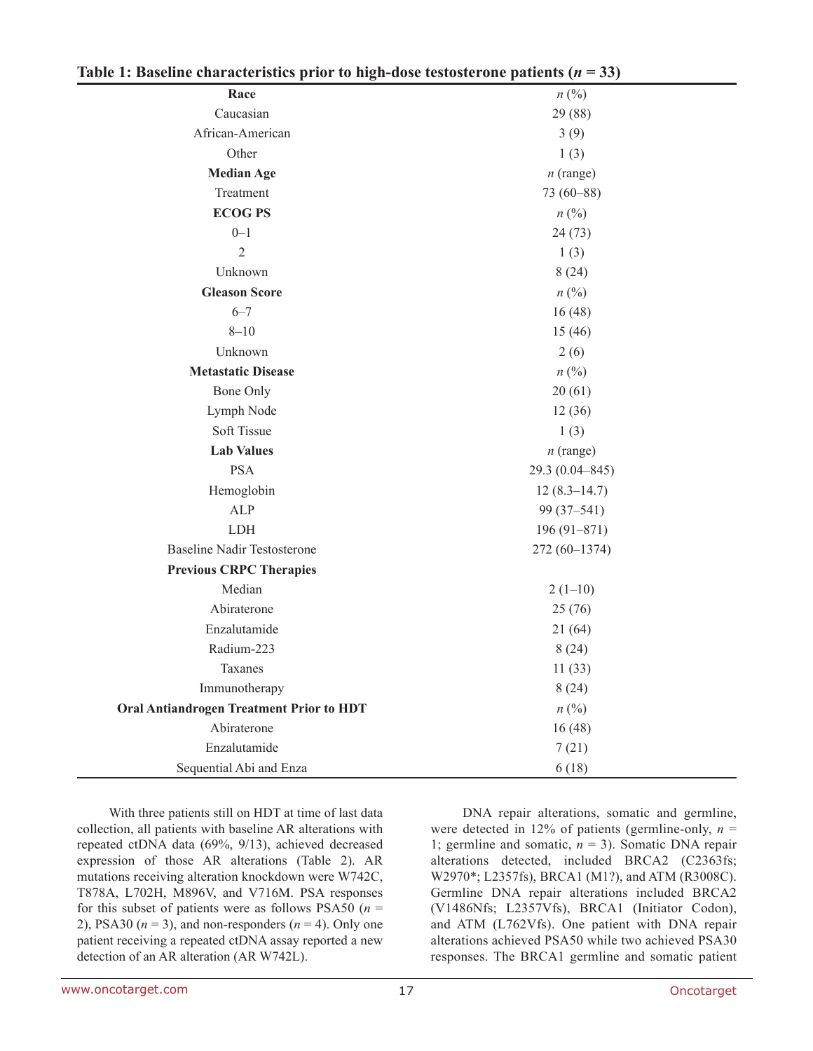| (abit 1. Dastinit that acteristics prior to ingli-dost restosici one patients $(n - 39)$<br>Race | $n\left(\frac{0}{0}\right)$ |  |  |
|--------------------------------------------------------------------------------------------------|-----------------------------|--|--|
| Caucasian                                                                                        | 29 (88)                     |  |  |
| African-American                                                                                 | 3(9)                        |  |  |
| Other                                                                                            | 1(3)                        |  |  |
| <b>Median Age</b>                                                                                | $n$ (range)                 |  |  |
| Treatment                                                                                        | $73(60 - 88)$               |  |  |
| <b>ECOG PS</b>                                                                                   | $n\ (\%)$                   |  |  |
| $0 - 1$                                                                                          | 24(73)                      |  |  |
| $\overline{2}$                                                                                   | 1(3)                        |  |  |
| Unknown                                                                                          | 8(24)                       |  |  |
| <b>Gleason Score</b>                                                                             | $n\ (\%)$                   |  |  |
| $6 - 7$                                                                                          | 16(48)                      |  |  |
| $8 - 10$                                                                                         | 15(46)                      |  |  |
| Unknown                                                                                          | 2(6)                        |  |  |
| <b>Metastatic Disease</b>                                                                        | $n\ (\%)$                   |  |  |
| Bone Only                                                                                        | 20(61)                      |  |  |
| Lymph Node                                                                                       | 12(36)                      |  |  |
| Soft Tissue                                                                                      | 1(3)                        |  |  |
| <b>Lab Values</b>                                                                                | $n$ (range)                 |  |  |
| <b>PSA</b>                                                                                       | 29.3 (0.04-845)             |  |  |
| Hemoglobin                                                                                       | $12(8.3 - 14.7)$            |  |  |
| <b>ALP</b>                                                                                       | 99 (37-541)                 |  |  |
| <b>LDH</b>                                                                                       | $196(91 - 871)$             |  |  |
| <b>Baseline Nadir Testosterone</b>                                                               | 272 (60-1374)               |  |  |
| <b>Previous CRPC Therapies</b>                                                                   |                             |  |  |
| Median                                                                                           | $2(1-10)$                   |  |  |
| Abiraterone                                                                                      | 25(76)                      |  |  |
| Enzalutamide                                                                                     | 21(64)                      |  |  |
| Radium-223                                                                                       | 8(24)                       |  |  |
| Taxanes                                                                                          | 11(33)                      |  |  |
| Immunotherapy                                                                                    | 8(24)                       |  |  |
| <b>Oral Antiandrogen Treatment Prior to HDT</b>                                                  | $n\ (\%)$                   |  |  |
| Abiraterone                                                                                      | 16(48)                      |  |  |
| Enzalutamide                                                                                     | 7(21)                       |  |  |
| Sequential Abi and Enza                                                                          | 6(18)                       |  |  |

With three patients still on HDT at time of last data collection, all patients with baseline AR alterations with repeated ctDNA data (69%, 9/13), achieved decreased expression of those AR alterations (Table 2). AR mutations receiving alteration knockdown were W742C, T878A, L702H, M896V, and V716M. PSA responses for this subset of patients were as follows PSA50 ( $n =$ 2), PSA30 ( $n = 3$ ), and non-responders ( $n = 4$ ). Only one patient receiving a repeated ctDNA assay reported a new detection of an AR alteration (AR W742L).

DNA repair alterations, somatic and germline, were detected in 12% of patients (germline-only,  $n =$ 1; germline and somatic,  $n = 3$ ). Somatic DNA repair alterations detected, included BRCA2 (C2363fs; W2970\*; L2357fs), BRCA1 (M1?), and ATM (R3008C). Germline DNA repair alterations included BRCA2 (V1486Nfs; L2357Vfs), BRCA1 (Initiator Codon), and ATM (L762Vfs). One patient with DNA repair alterations achieved PSA50 while two achieved PSA30 responses. The BRCA1 germline and somatic patient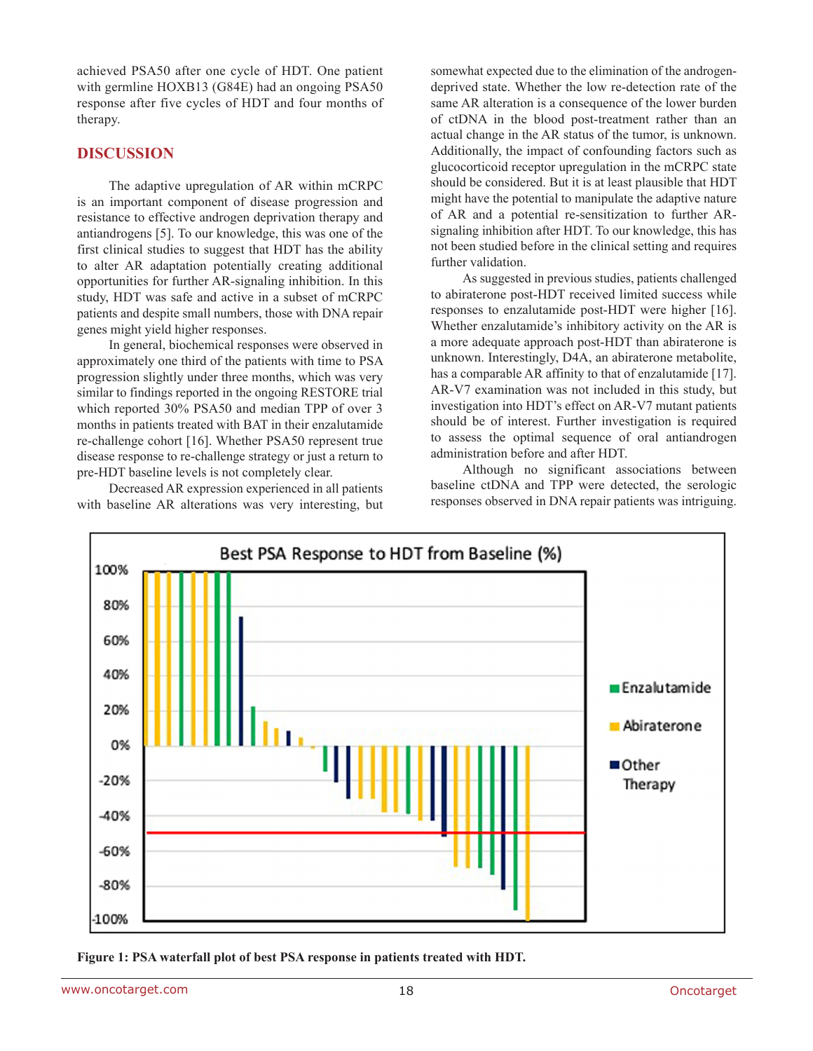achieved PSA50 after one cycle of HDT. One patient with germline HOXB13 (G84E) had an ongoing PSA50 response after five cycles of HDT and four months of therapy.

## **DISCUSSION**

The adaptive upregulation of AR within mCRPC is an important component of disease progression and resistance to effective androgen deprivation therapy and antiandrogens [5]. To our knowledge, this was one of the first clinical studies to suggest that HDT has the ability to alter AR adaptation potentially creating additional opportunities for further AR-signaling inhibition. In this study, HDT was safe and active in a subset of mCRPC patients and despite small numbers, those with DNA repair genes might yield higher responses.

In general, biochemical responses were observed in approximately one third of the patients with time to PSA progression slightly under three months, which was very similar to findings reported in the ongoing RESTORE trial which reported 30% PSA50 and median TPP of over 3 months in patients treated with BAT in their enzalutamide re-challenge cohort [16]. Whether PSA50 represent true disease response to re-challenge strategy or just a return to pre-HDT baseline levels is not completely clear.

Decreased AR expression experienced in all patients with baseline AR alterations was very interesting, but somewhat expected due to the elimination of the androgendeprived state. Whether the low re-detection rate of the same AR alteration is a consequence of the lower burden of ctDNA in the blood post-treatment rather than an actual change in the AR status of the tumor, is unknown. Additionally, the impact of confounding factors such as glucocorticoid receptor upregulation in the mCRPC state should be considered. But it is at least plausible that HDT might have the potential to manipulate the adaptive nature of AR and a potential re-sensitization to further ARsignaling inhibition after HDT. To our knowledge, this has not been studied before in the clinical setting and requires further validation.

As suggested in previous studies, patients challenged to abiraterone post-HDT received limited success while responses to enzalutamide post-HDT were higher [16]. Whether enzalutamide's inhibitory activity on the AR is a more adequate approach post-HDT than abiraterone is unknown. Interestingly, D4A, an abiraterone metabolite, has a comparable AR affinity to that of enzalutamide [17]. AR-V7 examination was not included in this study, but investigation into HDT's effect on AR-V7 mutant patients should be of interest. Further investigation is required to assess the optimal sequence of oral antiandrogen administration before and after HDT.

Although no significant associations between baseline ctDNA and TPP were detected, the serologic responses observed in DNA repair patients was intriguing.



**Figure 1: PSA waterfall plot of best PSA response in patients treated with HDT.**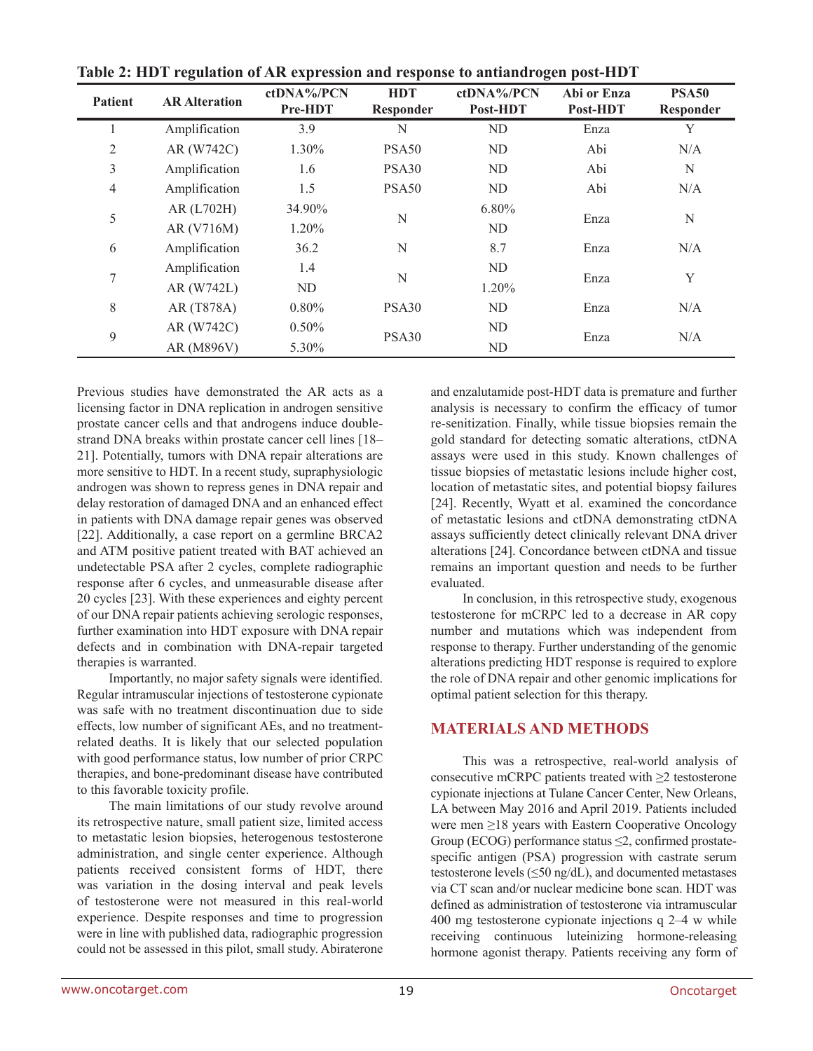| <b>Patient</b> | <b>AR Alteration</b> | ctDNA%/PCN<br>Pre-HDT | <b>HDT</b><br>Responder | ctDNA%/PCN<br>Post-HDT | Abi or Enza<br>Post-HDT | <b>PSA50</b><br>Responder |  |
|----------------|----------------------|-----------------------|-------------------------|------------------------|-------------------------|---------------------------|--|
|                | Amplification        | 3.9                   | N                       | ND                     | Enza                    | Y                         |  |
| 2              | AR (W742C)           | 1.30%                 | PSA50                   | ND                     | Abi                     | N/A                       |  |
| 3              | Amplification        | 1.6                   | PSA <sub>30</sub>       | ND                     | Abi                     | N                         |  |
| $\overline{4}$ | Amplification        | 1.5                   | PSA50                   | ND                     | Abi                     | N/A                       |  |
| 5              | AR (L702H)           | 34.90%                | N                       | $6.80\%$               | Enza                    | N                         |  |
|                | AR (V716M)           | 1.20%                 |                         | ND                     |                         |                           |  |
| 6              | Amplification        | 36.2                  | N                       | 8.7                    | Enza                    | N/A                       |  |
| 7              | Amplification        | 1.4                   | N                       |                        | ND                      |                           |  |
|                | AR (W742L)           | ND                    |                         | 1.20%                  | Enza                    | Y                         |  |
| 8              | AR (T878A)           | 0.80%                 | PSA30                   | ND                     | Enza                    | N/A                       |  |
| 9              | AR (W742C)           | 0.50%                 | PSA30                   | ND                     | Enza                    | N/A                       |  |
|                | AR (M896V)           | 5.30%                 |                         | ND                     |                         |                           |  |

**Table 2: HDT regulation of AR expression and response to antiandrogen post-HDT**

Previous studies have demonstrated the AR acts as a licensing factor in DNA replication in androgen sensitive prostate cancer cells and that androgens induce doublestrand DNA breaks within prostate cancer cell lines [18– 21]. Potentially, tumors with DNA repair alterations are more sensitive to HDT. In a recent study, supraphysiologic androgen was shown to repress genes in DNA repair and delay restoration of damaged DNA and an enhanced effect in patients with DNA damage repair genes was observed [22]. Additionally, a case report on a germline BRCA2 and ATM positive patient treated with BAT achieved an undetectable PSA after 2 cycles, complete radiographic response after 6 cycles, and unmeasurable disease after 20 cycles [23]. With these experiences and eighty percent of our DNA repair patients achieving serologic responses, further examination into HDT exposure with DNA repair defects and in combination with DNA-repair targeted therapies is warranted.

Importantly, no major safety signals were identified. Regular intramuscular injections of testosterone cypionate was safe with no treatment discontinuation due to side effects, low number of significant AEs, and no treatmentrelated deaths. It is likely that our selected population with good performance status, low number of prior CRPC therapies, and bone-predominant disease have contributed to this favorable toxicity profile.

The main limitations of our study revolve around its retrospective nature, small patient size, limited access to metastatic lesion biopsies, heterogenous testosterone administration, and single center experience. Although patients received consistent forms of HDT, there was variation in the dosing interval and peak levels of testosterone were not measured in this real-world experience. Despite responses and time to progression were in line with published data, radiographic progression could not be assessed in this pilot, small study. Abiraterone and enzalutamide post-HDT data is premature and further analysis is necessary to confirm the efficacy of tumor re-senitization. Finally, while tissue biopsies remain the gold standard for detecting somatic alterations, ctDNA assays were used in this study. Known challenges of tissue biopsies of metastatic lesions include higher cost, location of metastatic sites, and potential biopsy failures [24]. Recently, Wyatt et al. examined the concordance of metastatic lesions and ctDNA demonstrating ctDNA assays sufficiently detect clinically relevant DNA driver alterations [24]. Concordance between ctDNA and tissue remains an important question and needs to be further evaluated.

In conclusion, in this retrospective study, exogenous testosterone for mCRPC led to a decrease in AR copy number and mutations which was independent from response to therapy. Further understanding of the genomic alterations predicting HDT response is required to explore the role of DNA repair and other genomic implications for optimal patient selection for this therapy.

# **MATERIALS AND METHODS**

This was a retrospective, real-world analysis of consecutive mCRPC patients treated with  $\geq$  2 testosterone cypionate injections at Tulane Cancer Center, New Orleans, LA between May 2016 and April 2019. Patients included were men ≥18 years with Eastern Cooperative Oncology Group (ECOG) performance status  $\leq$ 2, confirmed prostatespecific antigen (PSA) progression with castrate serum testosterone levels (≤50 ng/dL), and documented metastases via CT scan and/or nuclear medicine bone scan. HDT was defined as administration of testosterone via intramuscular 400 mg testosterone cypionate injections q 2–4 w while receiving continuous luteinizing hormone-releasing hormone agonist therapy. Patients receiving any form of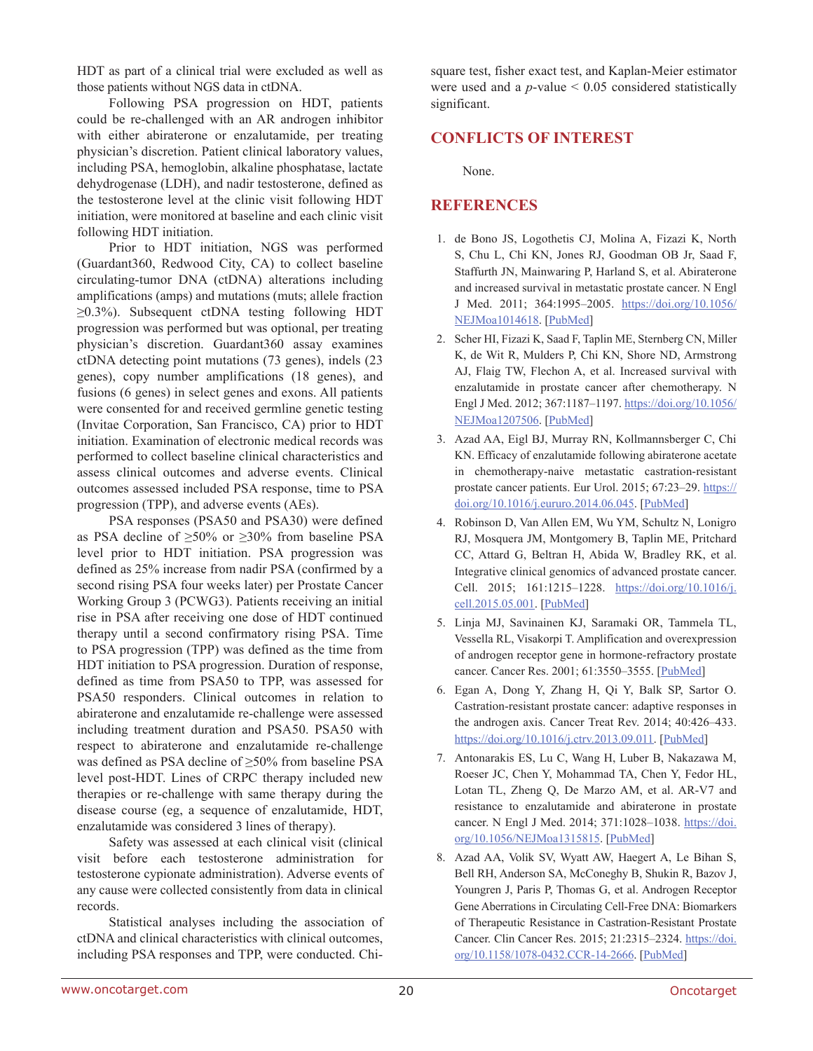HDT as part of a clinical trial were excluded as well as those patients without NGS data in ctDNA.

Following PSA progression on HDT, patients could be re-challenged with an AR androgen inhibitor with either abiraterone or enzalutamide, per treating physician's discretion. Patient clinical laboratory values, including PSA, hemoglobin, alkaline phosphatase, lactate dehydrogenase (LDH), and nadir testosterone, defined as the testosterone level at the clinic visit following HDT initiation, were monitored at baseline and each clinic visit following HDT initiation.

Prior to HDT initiation, NGS was performed (Guardant360, Redwood City, CA) to collect baseline circulating-tumor DNA (ctDNA) alterations including amplifications (amps) and mutations (muts; allele fraction  $\geq$ 0.3%). Subsequent ctDNA testing following HDT progression was performed but was optional, per treating physician's discretion. Guardant360 assay examines ctDNA detecting point mutations (73 genes), indels (23 genes), copy number amplifications (18 genes), and fusions (6 genes) in select genes and exons. All patients were consented for and received germline genetic testing (Invitae Corporation, San Francisco, CA) prior to HDT initiation. Examination of electronic medical records was performed to collect baseline clinical characteristics and assess clinical outcomes and adverse events. Clinical outcomes assessed included PSA response, time to PSA progression (TPP), and adverse events (AEs).

PSA responses (PSA50 and PSA30) were defined as PSA decline of  $\geq 50\%$  or  $\geq 30\%$  from baseline PSA level prior to HDT initiation. PSA progression was defined as 25% increase from nadir PSA (confirmed by a second rising PSA four weeks later) per Prostate Cancer Working Group 3 (PCWG3). Patients receiving an initial rise in PSA after receiving one dose of HDT continued therapy until a second confirmatory rising PSA. Time to PSA progression (TPP) was defined as the time from HDT initiation to PSA progression. Duration of response, defined as time from PSA50 to TPP, was assessed for PSA50 responders. Clinical outcomes in relation to abiraterone and enzalutamide re-challenge were assessed including treatment duration and PSA50. PSA50 with respect to abiraterone and enzalutamide re-challenge was defined as PSA decline of ≥50% from baseline PSA level post-HDT. Lines of CRPC therapy included new therapies or re-challenge with same therapy during the disease course (eg, a sequence of enzalutamide, HDT, enzalutamide was considered 3 lines of therapy).

Safety was assessed at each clinical visit (clinical visit before each testosterone administration for testosterone cypionate administration). Adverse events of any cause were collected consistently from data in clinical records.

Statistical analyses including the association of ctDNA and clinical characteristics with clinical outcomes, including PSA responses and TPP, were conducted. Chisquare test, fisher exact test, and Kaplan-Meier estimator were used and a  $p$ -value  $< 0.05$  considered statistically significant.

## **CONFLICTS OF INTEREST**

None.

## **REFERENCES**

- 1. de Bono JS, Logothetis CJ, Molina A, Fizazi K, North S, Chu L, Chi KN, Jones RJ, Goodman OB Jr, Saad F, Staffurth JN, Mainwaring P, Harland S, et al. Abiraterone and increased survival in metastatic prostate cancer. N Engl J Med. 2011; 364:1995–2005. [https://doi.org/10.1056/](https://doi.org/10.1056/NEJMoa1014618) [NEJMoa1014618.](https://doi.org/10.1056/NEJMoa1014618) [\[PubMed\]](https://www.ncbi.nlm.nih.gov/pubmed/21612468)
- 2. Scher HI, Fizazi K, Saad F, Taplin ME, Sternberg CN, Miller K, de Wit R, Mulders P, Chi KN, Shore ND, Armstrong AJ, Flaig TW, Flechon A, et al. Increased survival with enzalutamide in prostate cancer after chemotherapy. N Engl J Med. 2012; 367:1187–1197. [https://doi.org/10.1056/](https://doi.org/10.1056/NEJMoa1207506) [NEJMoa1207506.](https://doi.org/10.1056/NEJMoa1207506) [\[PubMed\]](https://www.ncbi.nlm.nih.gov/pubmed/22894553)
- 3. Azad AA, Eigl BJ, Murray RN, Kollmannsberger C, Chi KN. Efficacy of enzalutamide following abiraterone acetate in chemotherapy-naive metastatic castration-resistant prostate cancer patients. Eur Urol. 2015; 67:23-29. [https://](https://doi.org/10.1016/j.eururo.2014.06.045) [doi.org/10.1016/j.eururo.2014.06.045.](https://doi.org/10.1016/j.eururo.2014.06.045) [\[PubMed\]](https://www.ncbi.nlm.nih.gov/pubmed/25018038)
- 4. Robinson D, Van Allen EM, Wu YM, Schultz N, Lonigro RJ, Mosquera JM, Montgomery B, Taplin ME, Pritchard CC, Attard G, Beltran H, Abida W, Bradley RK, et al. Integrative clinical genomics of advanced prostate cancer. Cell. 2015; 161:1215-1228. [https://doi.org/10.1016/j.](https://doi.org/10.1016/j.cell.2015.05.001) [cell.2015.05.001.](https://doi.org/10.1016/j.cell.2015.05.001) [\[PubMed\]](https://www.ncbi.nlm.nih.gov/pubmed/26000489)
- 5. Linja MJ, Savinainen KJ, Saramaki OR, Tammela TL, Vessella RL, Visakorpi T. Amplification and overexpression of androgen receptor gene in hormone-refractory prostate cancer. Cancer Res. 2001; 61:3550-3555. [[PubMed](https://www.ncbi.nlm.nih.gov/pubmed/11325816)]
- 6. Egan A, Dong Y, Zhang H, Qi Y, Balk SP, Sartor O. Castration-resistant prostate cancer: adaptive responses in the androgen axis. Cancer Treat Rev. 2014; 40:426–433. <https://doi.org/10.1016/j.ctrv.2013.09.011>. [[PubMed](https://www.ncbi.nlm.nih.gov/pubmed/24139549)]
- 7. Antonarakis ES, Lu C, Wang H, Luber B, Nakazawa M, Roeser JC, Chen Y, Mohammad TA, Chen Y, Fedor HL, Lotan TL, Zheng Q, De Marzo AM, et al. AR-V7 and resistance to enzalutamide and abiraterone in prostate cancer. N Engl J Med. 2014; 371:1028–1038. [https://doi.](https://doi.org/10.1056/NEJMoa1315815) [org/10.1056/NEJMoa1315815](https://doi.org/10.1056/NEJMoa1315815). [[PubMed](https://www.ncbi.nlm.nih.gov/pubmed/25184630)]
- 8. Azad AA, Volik SV, Wyatt AW, Haegert A, Le Bihan S, Bell RH, Anderson SA, McConeghy B, Shukin R, Bazov J, Youngren J, Paris P, Thomas G, et al. Androgen Receptor Gene Aberrations in Circulating Cell-Free DNA: Biomarkers of Therapeutic Resistance in Castration-Resistant Prostate Cancer. Clin Cancer Res. 2015; 21:2315–2324. [https://doi.](https://doi.org/10.1158/1078-0432.CCR-14-2666) [org/10.1158/1078-0432.CCR-14-2666.](https://doi.org/10.1158/1078-0432.CCR-14-2666) [[PubMed\]](https://www.ncbi.nlm.nih.gov/pubmed/25712683)